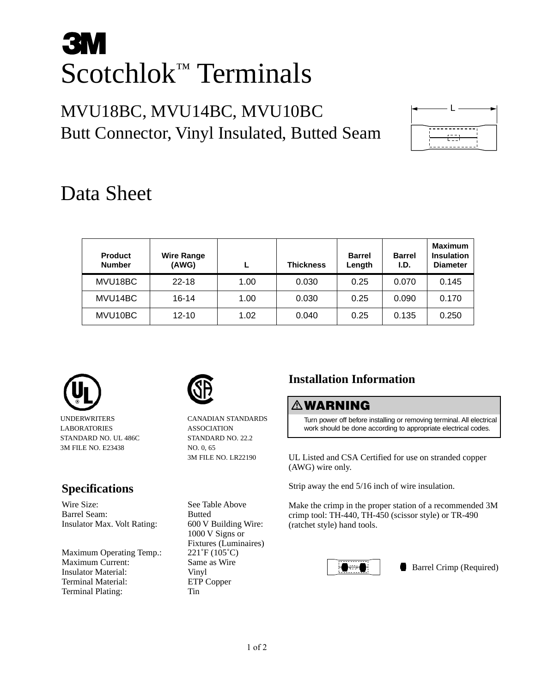# **3M** Scotchlok™ Terminals

### MVU18BC, MVU14BC, MVU10BC Butt Connector, Vinyl Insulated, Butted Seam



## Data Sheet

| <b>Product</b><br><b>Number</b> | <b>Wire Range</b><br>(AWG) |      | <b>Thickness</b> | <b>Barrel</b><br>Length | <b>Barrel</b><br>I.D. | <b>Maximum</b><br><b>Insulation</b><br><b>Diameter</b> |
|---------------------------------|----------------------------|------|------------------|-------------------------|-----------------------|--------------------------------------------------------|
| MVU18BC                         | $22 - 18$                  | 1.00 | 0.030            | 0.25                    | 0.070                 | 0.145                                                  |
| MVU14BC                         | 16-14                      | 1.00 | 0.030            | 0.25                    | 0.090                 | 0.170                                                  |
| MVU10BC                         | $12 - 10$                  | 1.02 | 0.040            | 0.25                    | 0.135                 | 0.250                                                  |



UNDERWRITERS **LABORATORIES** STANDARD NO. UL 486C 3M FILE NO. E23438

#### **Specifications**

Wire Size: See Table Above Barrel Seam: Butted Insulator Max. Volt Rating: 600 V Building Wire:

Maximum Operating Temp.: Maximum Current: Same as Wire Insulator Material: Vinyl Terminal Material: ETP Copper Terminal Plating: Tin



CANADIAN STANDARDS ASSOCIATION STANDARD NO. 22.2 NO. 0, 65 3M FILE NO. LR22190

1000 V Signs or Fixtures (Luminaires)<br>221°F (105°C)

### **Installation Information**

#### -**WARNING**

Turn power off before installing or removing terminal. All electrical work should be done according to appropriate electrical codes.

UL Listed and CSA Certified for use on stranded copper (AWG) wire only.

Strip away the end 5/16 inch of wire insulation.

Make the crimp in the proper station of a recommended 3M crimp tool: TH-440, TH-450 (scissor style) or TR-490 (ratchet style) hand tools.



Barrel Crimp (Required)